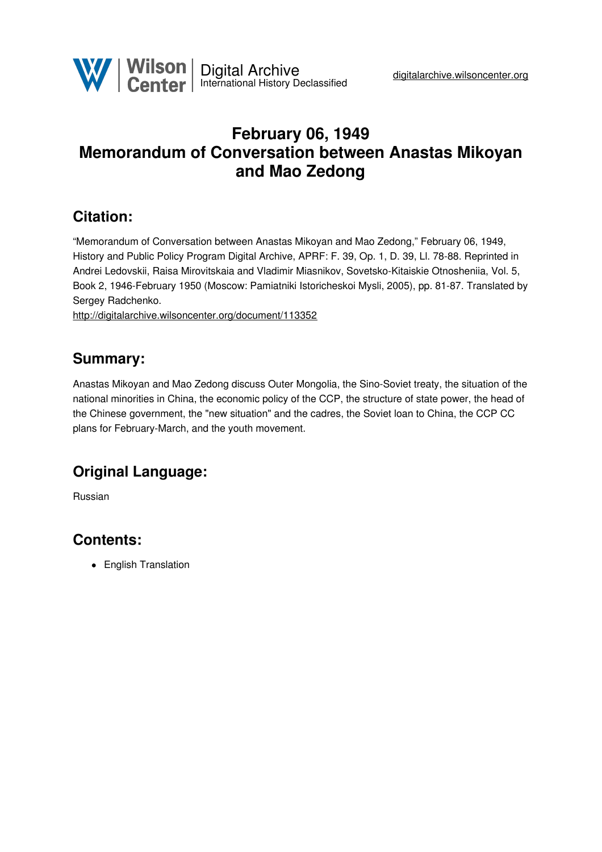

# **February 06, 1949 Memorandum of Conversation between Anastas Mikoyan and Mao Zedong**

# **Citation:**

"Memorandum of Conversation between Anastas Mikoyan and Mao Zedong," February 06, 1949, History and Public Policy Program Digital Archive, APRF: F. 39, Op. 1, D. 39, Ll. 78-88. Reprinted in Andrei Ledovskii, Raisa Mirovitskaia and Vladimir Miasnikov, Sovetsko-Kitaiskie Otnosheniia, Vol. 5, Book 2, 1946-February 1950 (Moscow: Pamiatniki Istoricheskoi Mysli, 2005), pp. 81-87. Translated by Sergey Radchenko.

<http://digitalarchive.wilsoncenter.org/document/113352>

## **Summary:**

Anastas Mikoyan and Mao Zedong discuss Outer Mongolia, the Sino-Soviet treaty, the situation of the national minorities in China, the economic policy of the CCP, the structure of state power, the head of the Chinese government, the "new situation" and the cadres, the Soviet loan to China, the CCP CC plans for February-March, and the youth movement.

# **Original Language:**

Russian

# **Contents:**

• English Translation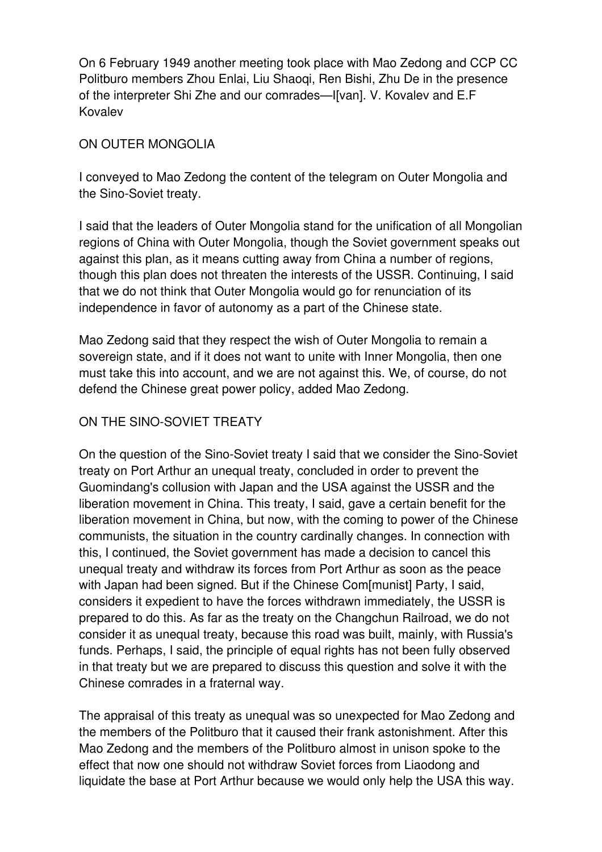On 6 February 1949 another meeting took place with Mao Zedong and CCP CC Politburo members Zhou Enlai, Liu Shaoqi, Ren Bishi, Zhu De in the presence of the interpreter Shi Zhe and our comrades—I[van]. V. Kovalev and E.F Kovalev

#### ON OUTER MONGOLIA

I conveyed to Mao Zedong the content of the telegram on Outer Mongolia and the Sino-Soviet treaty.

I said that the leaders of Outer Mongolia stand for the unification of all Mongolian regions of China with Outer Mongolia, though the Soviet government speaks out against this plan, as it means cutting away from China a number of regions, though this plan does not threaten the interests of the USSR. Continuing, I said that we do not think that Outer Mongolia would go for renunciation of its independence in favor of autonomy as a part of the Chinese state.

Mao Zedong said that they respect the wish of Outer Mongolia to remain a sovereign state, and if it does not want to unite with Inner Mongolia, then one must take this into account, and we are not against this. We, of course, do not defend the Chinese great power policy, added Mao Zedong.

## ON THE SINO-SOVIET TREATY

On the question of the Sino-Soviet treaty I said that we consider the Sino-Soviet treaty on Port Arthur an unequal treaty, concluded in order to prevent the Guomindang's collusion with Japan and the USA against the USSR and the liberation movement in China. This treaty, I said, gave a certain benefit for the liberation movement in China, but now, with the coming to power of the Chinese communists, the situation in the country cardinally changes. In connection with this, I continued, the Soviet government has made a decision to cancel this unequal treaty and withdraw its forces from Port Arthur as soon as the peace with Japan had been signed. But if the Chinese Com[munist] Party, I said, considers it expedient to have the forces withdrawn immediately, the USSR is prepared to do this. As far as the treaty on the Changchun Railroad, we do not consider it as unequal treaty, because this road was built, mainly, with Russia's funds. Perhaps, I said, the principle of equal rights has not been fully observed in that treaty but we are prepared to discuss this question and solve it with the Chinese comrades in a fraternal way.

The appraisal of this treaty as unequal was so unexpected for Mao Zedong and the members of the Politburo that it caused their frank astonishment. After this Mao Zedong and the members of the Politburo almost in unison spoke to the effect that now one should not withdraw Soviet forces from Liaodong and liquidate the base at Port Arthur because we would only help the USA this way.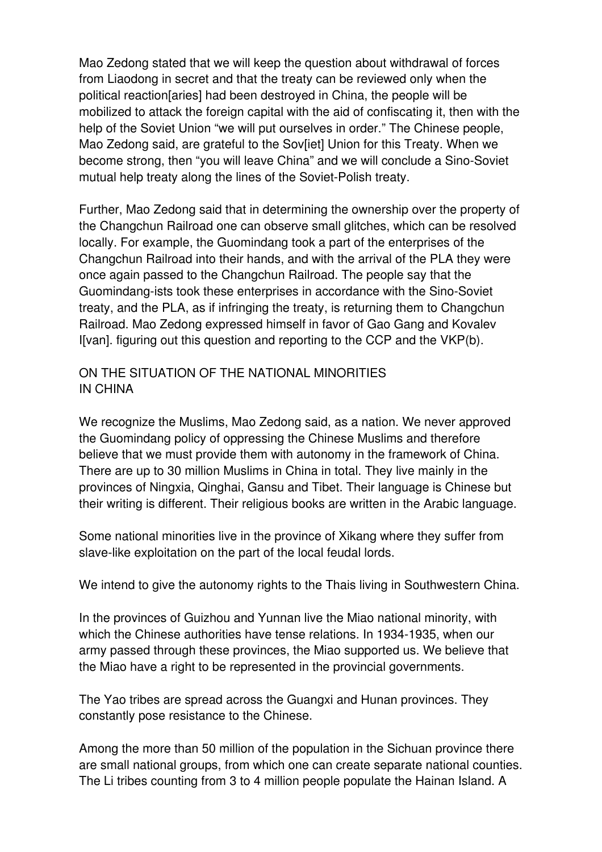Mao Zedong stated that we will keep the question about withdrawal of forces from Liaodong in secret and that the treaty can be reviewed only when the political reaction[aries] had been destroyed in China, the people will be mobilized to attack the foreign capital with the aid of confiscating it, then with the help of the Soviet Union "we will put ourselves in order." The Chinese people, Mao Zedong said, are grateful to the Sov[iet] Union for this Treaty. When we become strong, then "you will leave China" and we will conclude a Sino-Soviet mutual help treaty along the lines of the Soviet-Polish treaty.

Further, Mao Zedong said that in determining the ownership over the property of the Changchun Railroad one can observe small glitches, which can be resolved locally. For example, the Guomindang took a part of the enterprises of the Changchun Railroad into their hands, and with the arrival of the PLA they were once again passed to the Changchun Railroad. The people say that the Guomindang-ists took these enterprises in accordance with the Sino-Soviet treaty, and the PLA, as if infringing the treaty, is returning them to Changchun Railroad. Mao Zedong expressed himself in favor of Gao Gang and Kovalev I[van]. figuring out this question and reporting to the CCP and the VKP(b).

### ON THE SITUATION OF THE NATIONAL MINORITIES IN CHINA

We recognize the Muslims, Mao Zedong said, as a nation. We never approved the Guomindang policy of oppressing the Chinese Muslims and therefore believe that we must provide them with autonomy in the framework of China. There are up to 30 million Muslims in China in total. They live mainly in the provinces of Ningxia, Qinghai, Gansu and Tibet. Their language is Chinese but their writing is different. Their religious books are written in the Arabic language.

Some national minorities live in the province of Xikang where they suffer from slave-like exploitation on the part of the local feudal lords.

We intend to give the autonomy rights to the Thais living in Southwestern China.

In the provinces of Guizhou and Yunnan live the Miao national minority, with which the Chinese authorities have tense relations. In 1934-1935, when our army passed through these provinces, the Miao supported us. We believe that the Miao have a right to be represented in the provincial governments.

The Yao tribes are spread across the Guangxi and Hunan provinces. They constantly pose resistance to the Chinese.

Among the more than 50 million of the population in the Sichuan province there are small national groups, from which one can create separate national counties. The Li tribes counting from 3 to 4 million people populate the Hainan Island. A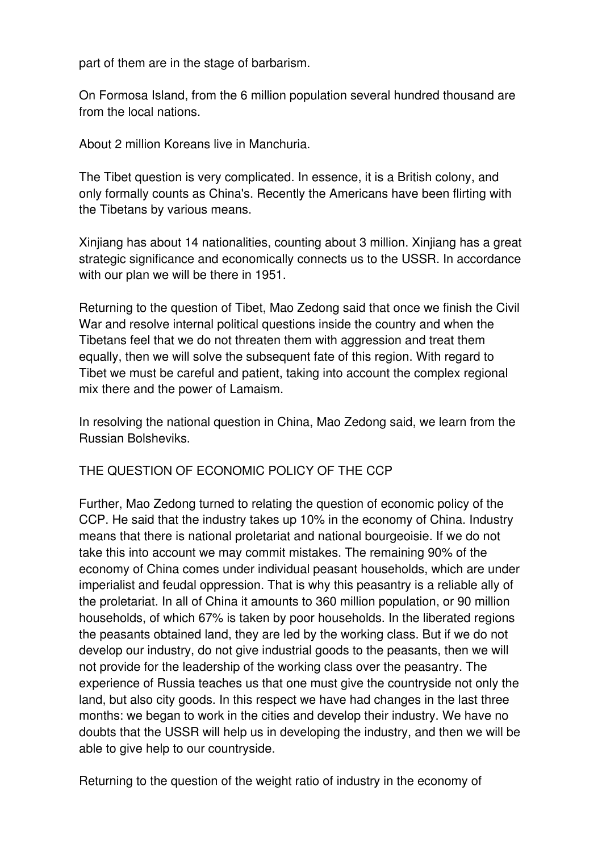part of them are in the stage of barbarism.

On Formosa Island, from the 6 million population several hundred thousand are from the local nations.

About 2 million Koreans live in Manchuria.

The Tibet question is very complicated. In essence, it is a British colony, and only formally counts as China's. Recently the Americans have been flirting with the Tibetans by various means.

Xinjiang has about 14 nationalities, counting about 3 million. Xinjiang has a great strategic significance and economically connects us to the USSR. In accordance with our plan we will be there in 1951.

Returning to the question of Tibet, Mao Zedong said that once we finish the Civil War and resolve internal political questions inside the country and when the Tibetans feel that we do not threaten them with aggression and treat them equally, then we will solve the subsequent fate of this region. With regard to Tibet we must be careful and patient, taking into account the complex regional mix there and the power of Lamaism.

In resolving the national question in China, Mao Zedong said, we learn from the Russian Bolsheviks.

THE QUESTION OF ECONOMIC POLICY OF THE CCP

Further, Mao Zedong turned to relating the question of economic policy of the CCP. He said that the industry takes up 10% in the economy of China. Industry means that there is national proletariat and national bourgeoisie. If we do not take this into account we may commit mistakes. The remaining 90% of the economy of China comes under individual peasant households, which are under imperialist and feudal oppression. That is why this peasantry is a reliable ally of the proletariat. In all of China it amounts to 360 million population, or 90 million households, of which 67% is taken by poor households. In the liberated regions the peasants obtained land, they are led by the working class. But if we do not develop our industry, do not give industrial goods to the peasants, then we will not provide for the leadership of the working class over the peasantry. The experience of Russia teaches us that one must give the countryside not only the land, but also city goods. In this respect we have had changes in the last three months: we began to work in the cities and develop their industry. We have no doubts that the USSR will help us in developing the industry, and then we will be able to give help to our countryside.

Returning to the question of the weight ratio of industry in the economy of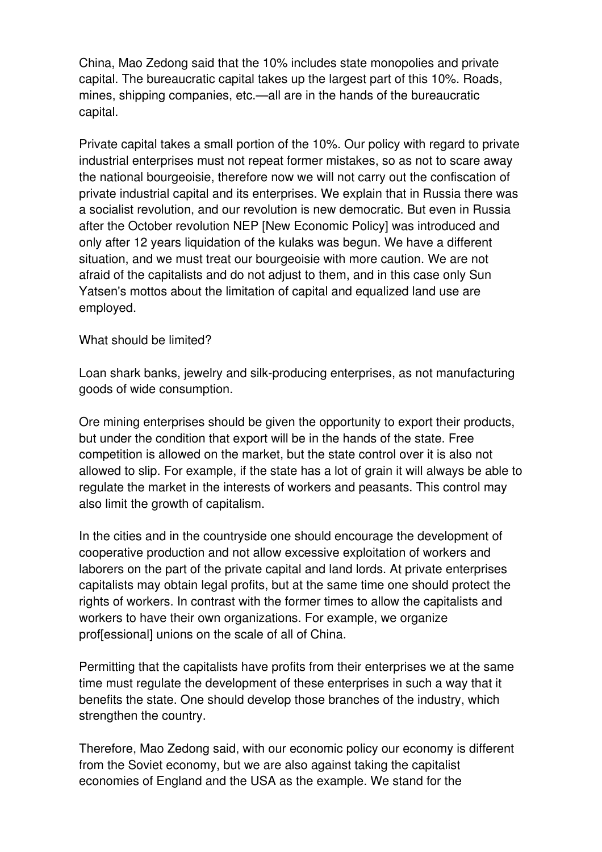China, Mao Zedong said that the 10% includes state monopolies and private capital. The bureaucratic capital takes up the largest part of this 10%. Roads, mines, shipping companies, etc.—all are in the hands of the bureaucratic capital.

Private capital takes a small portion of the 10%. Our policy with regard to private industrial enterprises must not repeat former mistakes, so as not to scare away the national bourgeoisie, therefore now we will not carry out the confiscation of private industrial capital and its enterprises. We explain that in Russia there was a socialist revolution, and our revolution is new democratic. But even in Russia after the October revolution NEP [New Economic Policy] was introduced and only after 12 years liquidation of the kulaks was begun. We have a different situation, and we must treat our bourgeoisie with more caution. We are not afraid of the capitalists and do not adjust to them, and in this case only Sun Yatsen's mottos about the limitation of capital and equalized land use are employed.

#### What should be limited?

Loan shark banks, jewelry and silk-producing enterprises, as not manufacturing goods of wide consumption.

Ore mining enterprises should be given the opportunity to export their products, but under the condition that export will be in the hands of the state. Free competition is allowed on the market, but the state control over it is also not allowed to slip. For example, if the state has a lot of grain it will always be able to regulate the market in the interests of workers and peasants. This control may also limit the growth of capitalism.

In the cities and in the countryside one should encourage the development of cooperative production and not allow excessive exploitation of workers and laborers on the part of the private capital and land lords. At private enterprises capitalists may obtain legal profits, but at the same time one should protect the rights of workers. In contrast with the former times to allow the capitalists and workers to have their own organizations. For example, we organize prof[essional] unions on the scale of all of China.

Permitting that the capitalists have profits from their enterprises we at the same time must regulate the development of these enterprises in such a way that it benefits the state. One should develop those branches of the industry, which strengthen the country.

Therefore, Mao Zedong said, with our economic policy our economy is different from the Soviet economy, but we are also against taking the capitalist economies of England and the USA as the example. We stand for the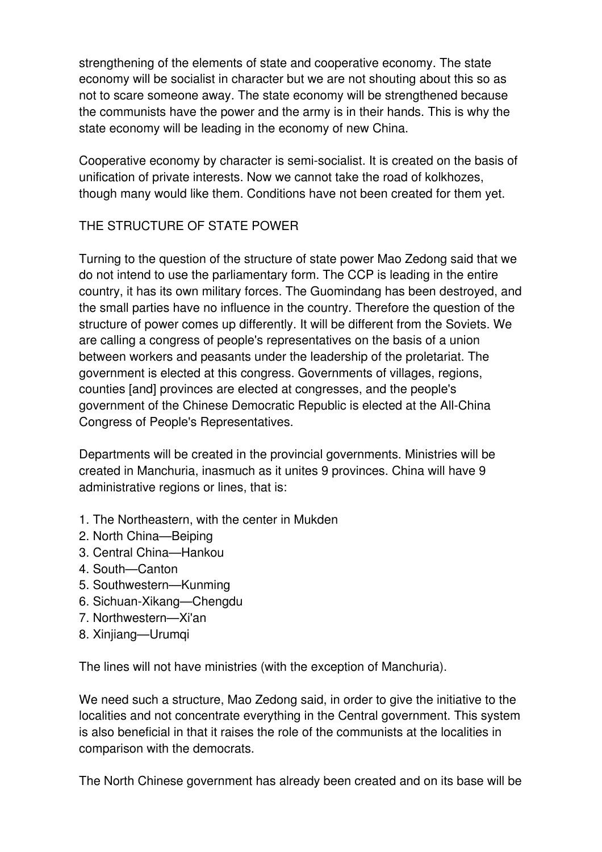strengthening of the elements of state and cooperative economy. The state economy will be socialist in character but we are not shouting about this so as not to scare someone away. The state economy will be strengthened because the communists have the power and the army is in their hands. This is why the state economy will be leading in the economy of new China.

Cooperative economy by character is semi-socialist. It is created on the basis of unification of private interests. Now we cannot take the road of kolkhozes, though many would like them. Conditions have not been created for them yet.

### THE STRUCTURE OF STATE POWER

Turning to the question of the structure of state power Mao Zedong said that we do not intend to use the parliamentary form. The CCP is leading in the entire country, it has its own military forces. The Guomindang has been destroyed, and the small parties have no influence in the country. Therefore the question of the structure of power comes up differently. It will be different from the Soviets. We are calling a congress of people's representatives on the basis of a union between workers and peasants under the leadership of the proletariat. The government is elected at this congress. Governments of villages, regions, counties [and] provinces are elected at congresses, and the people's government of the Chinese Democratic Republic is elected at the All-China Congress of People's Representatives.

Departments will be created in the provincial governments. Ministries will be created in Manchuria, inasmuch as it unites 9 provinces. China will have 9 administrative regions or lines, that is:

- 1. The Northeastern, with the center in Mukden
- 2. North China—Beiping
- 3. Central China—Hankou
- 4. South—Canton
- 5. Southwestern—Kunming
- 6. Sichuan-Xikang—Chengdu
- 7. Northwestern—Xi'an
- 8. Xinjiang—Urumqi

The lines will not have ministries (with the exception of Manchuria).

We need such a structure, Mao Zedong said, in order to give the initiative to the localities and not concentrate everything in the Central government. This system is also beneficial in that it raises the role of the communists at the localities in comparison with the democrats.

The North Chinese government has already been created and on its base will be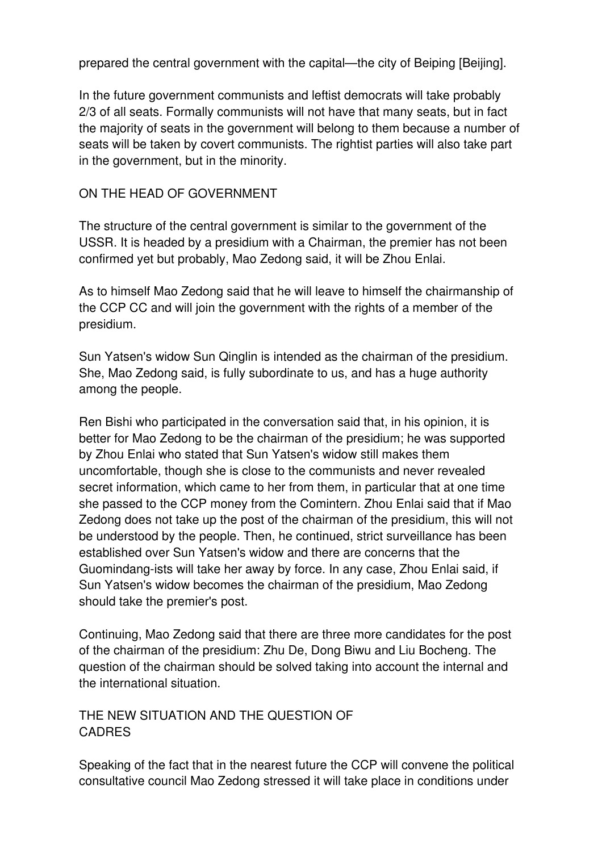prepared the central government with the capital—the city of Beiping [Beijing].

In the future government communists and leftist democrats will take probably 2/3 of all seats. Formally communists will not have that many seats, but in fact the majority of seats in the government will belong to them because a number of seats will be taken by covert communists. The rightist parties will also take part in the government, but in the minority.

### ON THE HEAD OF GOVERNMENT

The structure of the central government is similar to the government of the USSR. It is headed by a presidium with a Chairman, the premier has not been confirmed yet but probably, Mao Zedong said, it will be Zhou Enlai.

As to himself Mao Zedong said that he will leave to himself the chairmanship of the CCP CC and will join the government with the rights of a member of the presidium.

Sun Yatsen's widow Sun Qinglin is intended as the chairman of the presidium. She, Mao Zedong said, is fully subordinate to us, and has a huge authority among the people.

Ren Bishi who participated in the conversation said that, in his opinion, it is better for Mao Zedong to be the chairman of the presidium; he was supported by Zhou Enlai who stated that Sun Yatsen's widow still makes them uncomfortable, though she is close to the communists and never revealed secret information, which came to her from them, in particular that at one time she passed to the CCP money from the Comintern. Zhou Enlai said that if Mao Zedong does not take up the post of the chairman of the presidium, this will not be understood by the people. Then, he continued, strict surveillance has been established over Sun Yatsen's widow and there are concerns that the Guomindang-ists will take her away by force. In any case, Zhou Enlai said, if Sun Yatsen's widow becomes the chairman of the presidium, Mao Zedong should take the premier's post.

Continuing, Mao Zedong said that there are three more candidates for the post of the chairman of the presidium: Zhu De, Dong Biwu and Liu Bocheng. The question of the chairman should be solved taking into account the internal and the international situation.

### THE NEW SITUATION AND THE QUESTION OF CADRES

Speaking of the fact that in the nearest future the CCP will convene the political consultative council Mao Zedong stressed it will take place in conditions under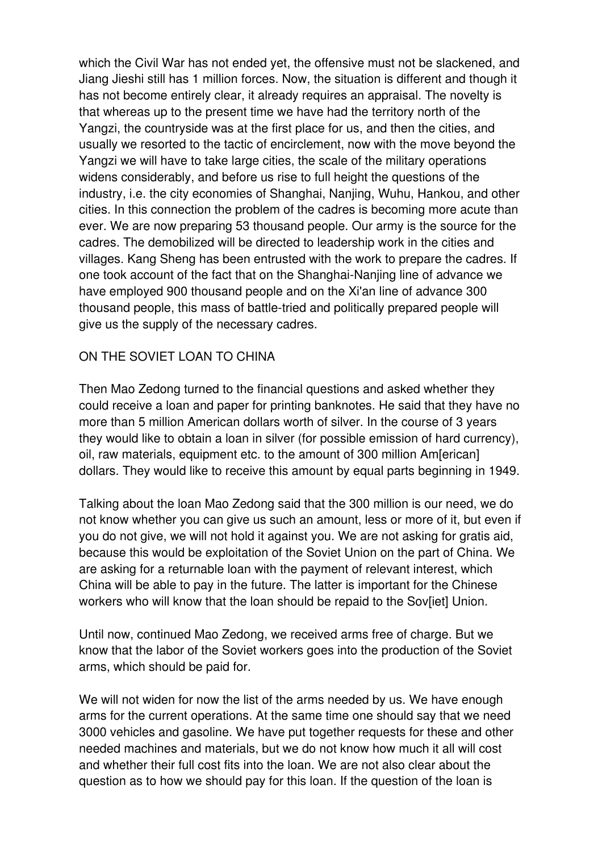which the Civil War has not ended yet, the offensive must not be slackened, and Jiang Jieshi still has 1 million forces. Now, the situation is different and though it has not become entirely clear, it already requires an appraisal. The novelty is that whereas up to the present time we have had the territory north of the Yangzi, the countryside was at the first place for us, and then the cities, and usually we resorted to the tactic of encirclement, now with the move beyond the Yangzi we will have to take large cities, the scale of the military operations widens considerably, and before us rise to full height the questions of the industry, i.e. the city economies of Shanghai, Nanjing, Wuhu, Hankou, and other cities. In this connection the problem of the cadres is becoming more acute than ever. We are now preparing 53 thousand people. Our army is the source for the cadres. The demobilized will be directed to leadership work in the cities and villages. Kang Sheng has been entrusted with the work to prepare the cadres. If one took account of the fact that on the Shanghai-Nanjing line of advance we have employed 900 thousand people and on the Xi'an line of advance 300 thousand people, this mass of battle-tried and politically prepared people will give us the supply of the necessary cadres.

### ON THE SOVIET LOAN TO CHINA

Then Mao Zedong turned to the financial questions and asked whether they could receive a loan and paper for printing banknotes. He said that they have no more than 5 million American dollars worth of silver. In the course of 3 years they would like to obtain a loan in silver (for possible emission of hard currency), oil, raw materials, equipment etc. to the amount of 300 million Am[erican] dollars. They would like to receive this amount by equal parts beginning in 1949.

Talking about the loan Mao Zedong said that the 300 million is our need, we do not know whether you can give us such an amount, less or more of it, but even if you do not give, we will not hold it against you. We are not asking for gratis aid, because this would be exploitation of the Soviet Union on the part of China. We are asking for a returnable loan with the payment of relevant interest, which China will be able to pay in the future. The latter is important for the Chinese workers who will know that the loan should be repaid to the Sov[iet] Union.

Until now, continued Mao Zedong, we received arms free of charge. But we know that the labor of the Soviet workers goes into the production of the Soviet arms, which should be paid for.

We will not widen for now the list of the arms needed by us. We have enough arms for the current operations. At the same time one should say that we need 3000 vehicles and gasoline. We have put together requests for these and other needed machines and materials, but we do not know how much it all will cost and whether their full cost fits into the loan. We are not also clear about the question as to how we should pay for this loan. If the question of the loan is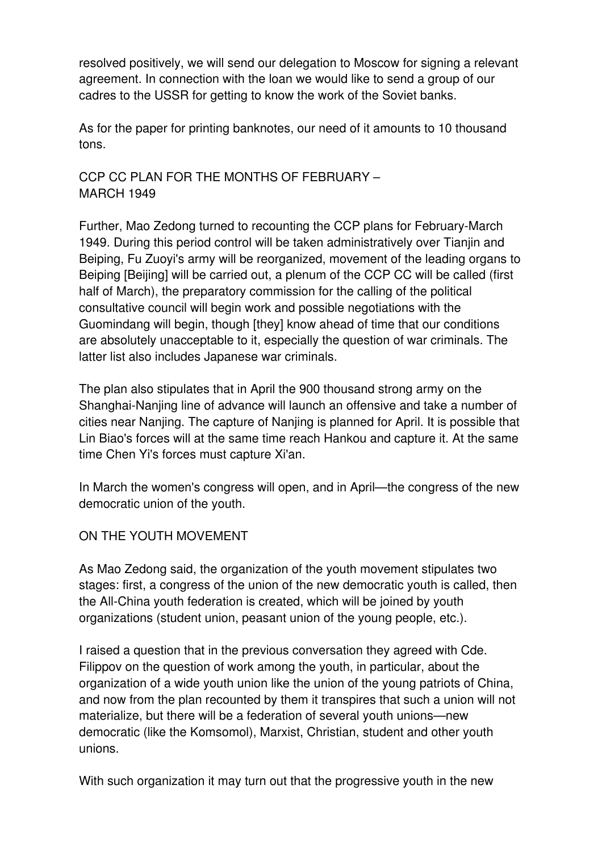resolved positively, we will send our delegation to Moscow for signing a relevant agreement. In connection with the loan we would like to send a group of our cadres to the USSR for getting to know the work of the Soviet banks.

As for the paper for printing banknotes, our need of it amounts to 10 thousand tons.

CCP CC PLAN FOR THE MONTHS OF FEBRUARY – MARCH 1949

Further, Mao Zedong turned to recounting the CCP plans for February-March 1949. During this period control will be taken administratively over Tianjin and Beiping, Fu Zuoyi's army will be reorganized, movement of the leading organs to Beiping [Beijing] will be carried out, a plenum of the CCP CC will be called (first half of March), the preparatory commission for the calling of the political consultative council will begin work and possible negotiations with the Guomindang will begin, though [they] know ahead of time that our conditions are absolutely unacceptable to it, especially the question of war criminals. The latter list also includes Japanese war criminals.

The plan also stipulates that in April the 900 thousand strong army on the Shanghai-Nanjing line of advance will launch an offensive and take a number of cities near Nanjing. The capture of Nanjing is planned for April. It is possible that Lin Biao's forces will at the same time reach Hankou and capture it. At the same time Chen Yi's forces must capture Xi'an.

In March the women's congress will open, and in April—the congress of the new democratic union of the youth.

#### ON THE YOUTH MOVEMENT

As Mao Zedong said, the organization of the youth movement stipulates two stages: first, a congress of the union of the new democratic youth is called, then the All-China youth federation is created, which will be joined by youth organizations (student union, peasant union of the young people, etc.).

I raised a question that in the previous conversation they agreed with Cde. Filippov on the question of work among the youth, in particular, about the organization of a wide youth union like the union of the young patriots of China, and now from the plan recounted by them it transpires that such a union will not materialize, but there will be a federation of several youth unions—new democratic (like the Komsomol), Marxist, Christian, student and other youth unions.

With such organization it may turn out that the progressive youth in the new